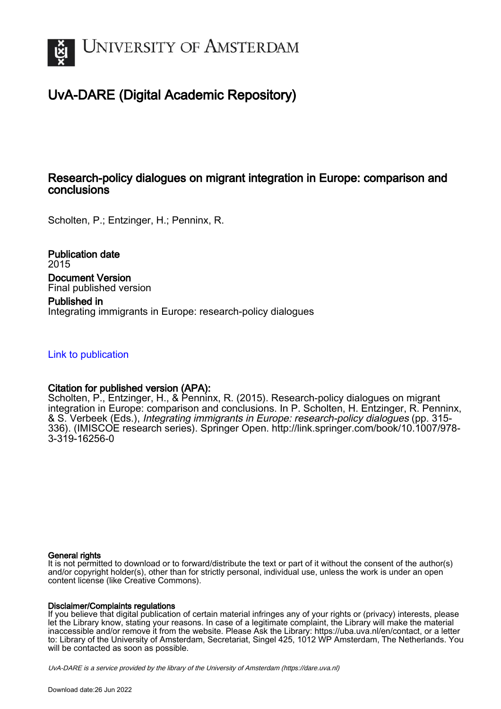

# UvA-DARE (Digital Academic Repository)

## Research-policy dialogues on migrant integration in Europe: comparison and conclusions

Scholten, P.; Entzinger, H.; Penninx, R.

Publication date 2015 Document Version Final published version

Published in Integrating immigrants in Europe: research-policy dialogues

[Link to publication](https://dare.uva.nl/personal/pure/en/publications/researchpolicy-dialogues-on-migrant-integration-in-europe-comparison-and-conclusions(44b9b5f2-f024-455d-8908-051574f2e503).html)

## Citation for published version (APA):

Scholten, P., Entzinger, H., & Penninx, R. (2015). Research-policy dialogues on migrant integration in Europe: comparison and conclusions. In P. Scholten, H. Entzinger, R. Penninx, & S. Verbeek (Eds.), Integrating immigrants in Europe: research-policy dialogues (pp. 315- 336). (IMISCOE research series). Springer Open. [http://link.springer.com/book/10.1007/978-](http://link.springer.com/book/10.1007/978-3-319-16256-0) [3-319-16256-0](http://link.springer.com/book/10.1007/978-3-319-16256-0)

#### General rights

It is not permitted to download or to forward/distribute the text or part of it without the consent of the author(s) and/or copyright holder(s), other than for strictly personal, individual use, unless the work is under an open content license (like Creative Commons).

#### Disclaimer/Complaints regulations

If you believe that digital publication of certain material infringes any of your rights or (privacy) interests, please let the Library know, stating your reasons. In case of a legitimate complaint, the Library will make the material inaccessible and/or remove it from the website. Please Ask the Library: https://uba.uva.nl/en/contact, or a letter to: Library of the University of Amsterdam, Secretariat, Singel 425, 1012 WP Amsterdam, The Netherlands. You will be contacted as soon as possible.

UvA-DARE is a service provided by the library of the University of Amsterdam (http*s*://dare.uva.nl)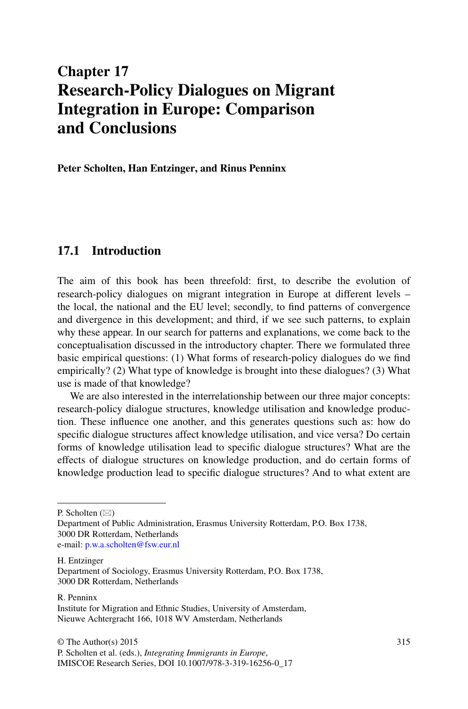## **Chapter 17 Research-Policy Dialogues on Migrant Integration in Europe: Comparison and Conclusions**

**Peter Scholten, Han Entzinger, and Rinus Penninx**

## **17.1 Introduction**

The aim of this book has been threefold: first, to describe the evolution of research-policy dialogues on migrant integration in Europe at different levels – the local, the national and the EU level; secondly, to find patterns of convergence and divergence in this development; and third, if we see such patterns, to explain why these appear. In our search for patterns and explanations, we come back to the conceptualisation discussed in the introductory chapter. There we formulated three basic empirical questions: (1) What forms of research-policy dialogues do we find empirically? (2) What type of knowledge is brought into these dialogues? (3) What use is made of that knowledge?

We are also interested in the interrelationship between our three major concepts: research-policy dialogue structures, knowledge utilisation and knowledge production. These influence one another, and this generates questions such as: how do specific dialogue structures affect knowledge utilisation, and vice versa? Do certain forms of knowledge utilisation lead to specific dialogue structures? What are the effects of dialogue structures on knowledge production, and do certain forms of knowledge production lead to specific dialogue structures? And to what extent are

P. Scholten  $(\boxtimes)$ 

Department of Public Administration, Erasmus University Rotterdam, P.O. Box 1738, 3000 DR Rotterdam, Netherlands e-mail: [p.w.a.scholten@fsw.eur.nl](mailto:p.w.a.scholten@fsw.eur.nl)

H. Entzinger

#### R. Penninx Institute for Migration and Ethnic Studies, University of Amsterdam, Nieuwe Achtergracht 166, 1018 WV Amsterdam, Netherlands

Department of Sociology, Erasmus University Rotterdam, P.O. Box 1738, 3000 DR Rotterdam, Netherlands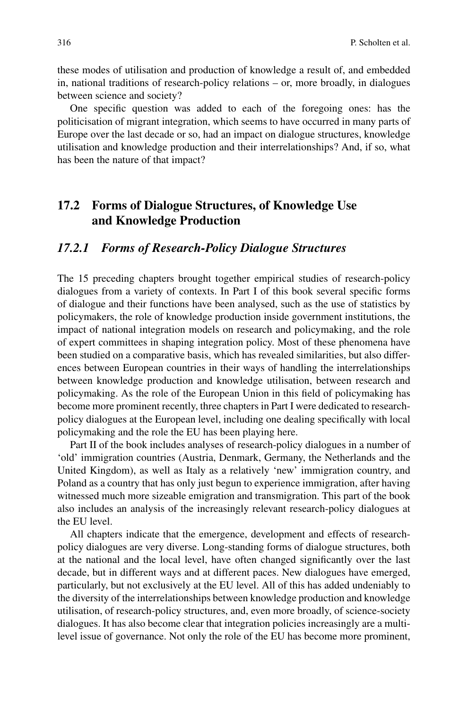these modes of utilisation and production of knowledge a result of, and embedded in, national traditions of research-policy relations – or, more broadly, in dialogues between science and society?

One specific question was added to each of the foregoing ones: has the politicisation of migrant integration, which seems to have occurred in many parts of Europe over the last decade or so, had an impact on dialogue structures, knowledge utilisation and knowledge production and their interrelationships? And, if so, what has been the nature of that impact?

## **17.2 Forms of Dialogue Structures, of Knowledge Use and Knowledge Production**

#### *17.2.1 Forms of Research-Policy Dialogue Structures*

The 15 preceding chapters brought together empirical studies of research-policy dialogues from a variety of contexts. In Part I of this book several specific forms of dialogue and their functions have been analysed, such as the use of statistics by policymakers, the role of knowledge production inside government institutions, the impact of national integration models on research and policymaking, and the role of expert committees in shaping integration policy. Most of these phenomena have been studied on a comparative basis, which has revealed similarities, but also differences between European countries in their ways of handling the interrelationships between knowledge production and knowledge utilisation, between research and policymaking. As the role of the European Union in this field of policymaking has become more prominent recently, three chapters in Part I were dedicated to researchpolicy dialogues at the European level, including one dealing specifically with local policymaking and the role the EU has been playing here.

Part II of the book includes analyses of research-policy dialogues in a number of 'old' immigration countries (Austria, Denmark, Germany, the Netherlands and the United Kingdom), as well as Italy as a relatively 'new' immigration country, and Poland as a country that has only just begun to experience immigration, after having witnessed much more sizeable emigration and transmigration. This part of the book also includes an analysis of the increasingly relevant research-policy dialogues at the EU level.

All chapters indicate that the emergence, development and effects of researchpolicy dialogues are very diverse. Long-standing forms of dialogue structures, both at the national and the local level, have often changed significantly over the last decade, but in different ways and at different paces. New dialogues have emerged, particularly, but not exclusively at the EU level. All of this has added undeniably to the diversity of the interrelationships between knowledge production and knowledge utilisation, of research-policy structures, and, even more broadly, of science-society dialogues. It has also become clear that integration policies increasingly are a multilevel issue of governance. Not only the role of the EU has become more prominent,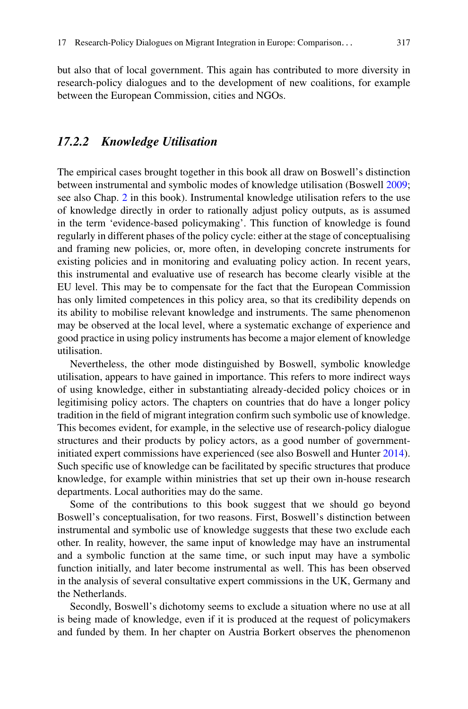but also that of local government. This again has contributed to more diversity in research-policy dialogues and to the development of new coalitions, for example between the European Commission, cities and NGOs.

#### *17.2.2 Knowledge Utilisation*

The empirical cases brought together in this book all draw on Boswell's distinction between instrumental and symbolic modes of knowledge utilisation (Boswell [2009;](#page-21-0) see also Chap. [2](http://dx.doi.org/10.1007/978-3-319-16256-0_2) in this book). Instrumental knowledge utilisation refers to the use of knowledge directly in order to rationally adjust policy outputs, as is assumed in the term 'evidence-based policymaking'. This function of knowledge is found regularly in different phases of the policy cycle: either at the stage of conceptualising and framing new policies, or, more often, in developing concrete instruments for existing policies and in monitoring and evaluating policy action. In recent years, this instrumental and evaluative use of research has become clearly visible at the EU level. This may be to compensate for the fact that the European Commission has only limited competences in this policy area, so that its credibility depends on its ability to mobilise relevant knowledge and instruments. The same phenomenon may be observed at the local level, where a systematic exchange of experience and good practice in using policy instruments has become a major element of knowledge utilisation.

Nevertheless, the other mode distinguished by Boswell, symbolic knowledge utilisation, appears to have gained in importance. This refers to more indirect ways of using knowledge, either in substantiating already-decided policy choices or in legitimising policy actors. The chapters on countries that do have a longer policy tradition in the field of migrant integration confirm such symbolic use of knowledge. This becomes evident, for example, in the selective use of research-policy dialogue structures and their products by policy actors, as a good number of governmentinitiated expert commissions have experienced (see also Boswell and Hunter [2014\)](#page-21-1). Such specific use of knowledge can be facilitated by specific structures that produce knowledge, for example within ministries that set up their own in-house research departments. Local authorities may do the same.

Some of the contributions to this book suggest that we should go beyond Boswell's conceptualisation, for two reasons. First, Boswell's distinction between instrumental and symbolic use of knowledge suggests that these two exclude each other. In reality, however, the same input of knowledge may have an instrumental and a symbolic function at the same time, or such input may have a symbolic function initially, and later become instrumental as well. This has been observed in the analysis of several consultative expert commissions in the UK, Germany and the Netherlands.

Secondly, Boswell's dichotomy seems to exclude a situation where no use at all is being made of knowledge, even if it is produced at the request of policymakers and funded by them. In her chapter on Austria Borkert observes the phenomenon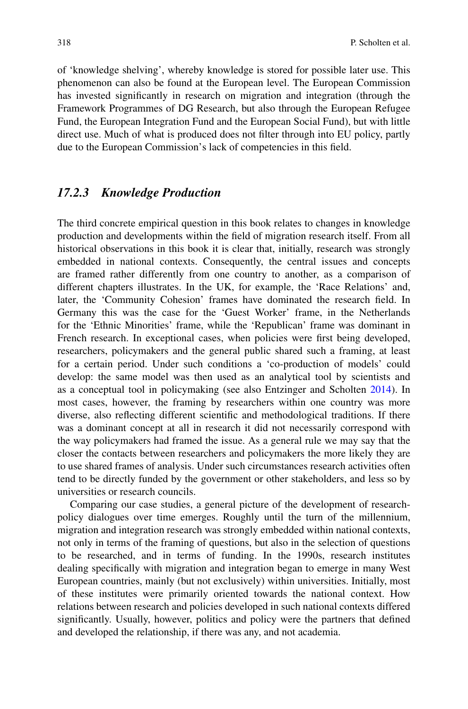of 'knowledge shelving', whereby knowledge is stored for possible later use. This phenomenon can also be found at the European level. The European Commission has invested significantly in research on migration and integration (through the Framework Programmes of DG Research, but also through the European Refugee Fund, the European Integration Fund and the European Social Fund), but with little direct use. Much of what is produced does not filter through into EU policy, partly due to the European Commission's lack of competencies in this field.

#### *17.2.3 Knowledge Production*

The third concrete empirical question in this book relates to changes in knowledge production and developments within the field of migration research itself. From all historical observations in this book it is clear that, initially, research was strongly embedded in national contexts. Consequently, the central issues and concepts are framed rather differently from one country to another, as a comparison of different chapters illustrates. In the UK, for example, the 'Race Relations' and, later, the 'Community Cohesion' frames have dominated the research field. In Germany this was the case for the 'Guest Worker' frame, in the Netherlands for the 'Ethnic Minorities' frame, while the 'Republican' frame was dominant in French research. In exceptional cases, when policies were first being developed, researchers, policymakers and the general public shared such a framing, at least for a certain period. Under such conditions a 'co-production of models' could develop: the same model was then used as an analytical tool by scientists and as a conceptual tool in policymaking (see also Entzinger and Scholten [2014\)](#page-22-0). In most cases, however, the framing by researchers within one country was more diverse, also reflecting different scientific and methodological traditions. If there was a dominant concept at all in research it did not necessarily correspond with the way policymakers had framed the issue. As a general rule we may say that the closer the contacts between researchers and policymakers the more likely they are to use shared frames of analysis. Under such circumstances research activities often tend to be directly funded by the government or other stakeholders, and less so by universities or research councils.

Comparing our case studies, a general picture of the development of researchpolicy dialogues over time emerges. Roughly until the turn of the millennium, migration and integration research was strongly embedded within national contexts, not only in terms of the framing of questions, but also in the selection of questions to be researched, and in terms of funding. In the 1990s, research institutes dealing specifically with migration and integration began to emerge in many West European countries, mainly (but not exclusively) within universities. Initially, most of these institutes were primarily oriented towards the national context. How relations between research and policies developed in such national contexts differed significantly. Usually, however, politics and policy were the partners that defined and developed the relationship, if there was any, and not academia.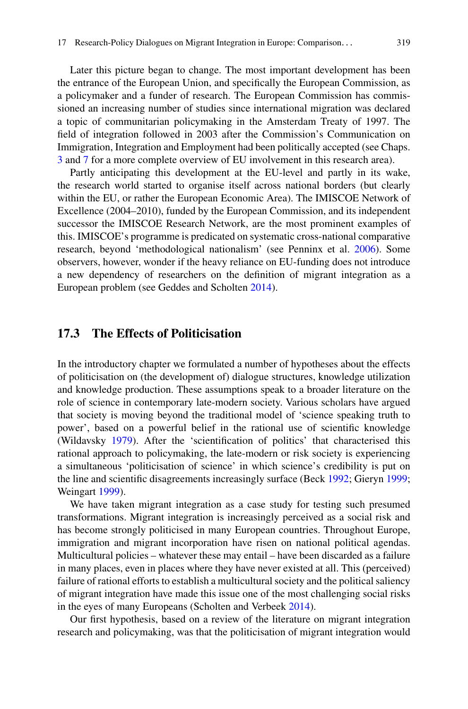Later this picture began to change. The most important development has been the entrance of the European Union, and specifically the European Commission, as a policymaker and a funder of research. The European Commission has commissioned an increasing number of studies since international migration was declared a topic of communitarian policymaking in the Amsterdam Treaty of 1997. The field of integration followed in 2003 after the Commission's Communication on Immigration, Integration and Employment had been politically accepted (see Chaps. [3](http://dx.doi.org/10.1007/978-3-319-16256-0_3) and [7](http://dx.doi.org/10.1007/978-3-319-16256-0_7) for a more complete overview of EU involvement in this research area).

Partly anticipating this development at the EU-level and partly in its wake, the research world started to organise itself across national borders (but clearly within the EU, or rather the European Economic Area). The IMISCOE Network of Excellence (2004–2010), funded by the European Commission, and its independent successor the IMISCOE Research Network, are the most prominent examples of this. IMISCOE's programme is predicated on systematic cross-national comparative research, beyond 'methodological nationalism' (see Penninx et al. [2006\)](#page-22-1). Some observers, however, wonder if the heavy reliance on EU-funding does not introduce a new dependency of researchers on the definition of migrant integration as a European problem (see Geddes and Scholten [2014\)](#page-22-2).

#### **17.3 The Effects of Politicisation**

In the introductory chapter we formulated a number of hypotheses about the effects of politicisation on (the development of) dialogue structures, knowledge utilization and knowledge production. These assumptions speak to a broader literature on the role of science in contemporary late-modern society. Various scholars have argued that society is moving beyond the traditional model of 'science speaking truth to power', based on a powerful belief in the rational use of scientific knowledge (Wildavsky [1979\)](#page-22-3). After the 'scientification of politics' that characterised this rational approach to policymaking, the late-modern or risk society is experiencing a simultaneous 'politicisation of science' in which science's credibility is put on the line and scientific disagreements increasingly surface (Beck [1992;](#page-21-2) Gieryn [1999;](#page-22-4) Weingart [1999\)](#page-22-5).

We have taken migrant integration as a case study for testing such presumed transformations. Migrant integration is increasingly perceived as a social risk and has become strongly politicised in many European countries. Throughout Europe, immigration and migrant incorporation have risen on national political agendas. Multicultural policies – whatever these may entail – have been discarded as a failure in many places, even in places where they have never existed at all. This (perceived) failure of rational efforts to establish a multicultural society and the political saliency of migrant integration have made this issue one of the most challenging social risks in the eyes of many Europeans (Scholten and Verbeek [2014\)](#page-22-6).

Our first hypothesis, based on a review of the literature on migrant integration research and policymaking, was that the politicisation of migrant integration would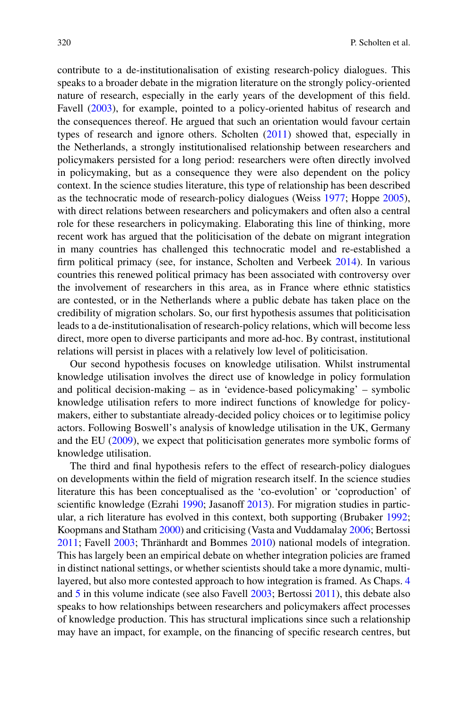contribute to a de-institutionalisation of existing research-policy dialogues. This speaks to a broader debate in the migration literature on the strongly policy-oriented nature of research, especially in the early years of the development of this field. Favell [\(2003\)](#page-22-7), for example, pointed to a policy-oriented habitus of research and the consequences thereof. He argued that such an orientation would favour certain types of research and ignore others. Scholten [\(2011\)](#page-22-8) showed that, especially in the Netherlands, a strongly institutionalised relationship between researchers and policymakers persisted for a long period: researchers were often directly involved in policymaking, but as a consequence they were also dependent on the policy context. In the science studies literature, this type of relationship has been described as the technocratic mode of research-policy dialogues (Weiss [1977;](#page-22-9) Hoppe [2005\)](#page-22-10), with direct relations between researchers and policymakers and often also a central role for these researchers in policymaking. Elaborating this line of thinking, more recent work has argued that the politicisation of the debate on migrant integration in many countries has challenged this technocratic model and re-established a firm political primacy (see, for instance, Scholten and Verbeek [2014\)](#page-22-6). In various countries this renewed political primacy has been associated with controversy over the involvement of researchers in this area, as in France where ethnic statistics are contested, or in the Netherlands where a public debate has taken place on the credibility of migration scholars. So, our first hypothesis assumes that politicisation leads to a de-institutionalisation of research-policy relations, which will become less direct, more open to diverse participants and more ad-hoc. By contrast, institutional relations will persist in places with a relatively low level of politicisation.

Our second hypothesis focuses on knowledge utilisation. Whilst instrumental knowledge utilisation involves the direct use of knowledge in policy formulation and political decision-making – as in 'evidence-based policymaking' – symbolic knowledge utilisation refers to more indirect functions of knowledge for policymakers, either to substantiate already-decided policy choices or to legitimise policy actors. Following Boswell's analysis of knowledge utilisation in the UK, Germany and the EU [\(2009\)](#page-21-0), we expect that politicisation generates more symbolic forms of knowledge utilisation.

The third and final hypothesis refers to the effect of research-policy dialogues on developments within the field of migration research itself. In the science studies literature this has been conceptualised as the 'co-evolution' or 'coproduction' of scientific knowledge (Ezrahi [1990;](#page-22-11) Jasanoff [2013\)](#page-22-12). For migration studies in particular, a rich literature has evolved in this context, both supporting (Brubaker [1992;](#page-21-3) Koopmans and Statham [2000\)](#page-22-13) and criticising (Vasta and Vuddamalay [2006;](#page-22-14) Bertossi [2011;](#page-21-4) Favell [2003;](#page-22-7) Thränhardt and Bommes [2010\)](#page-22-15) national models of integration. This has largely been an empirical debate on whether integration policies are framed in distinct national settings, or whether scientists should take a more dynamic, multilayered, but also more contested approach to how integration is framed. As Chaps. [4](http://dx.doi.org/10.1007/978-3-319-16256-0_4) and [5](http://dx.doi.org/10.1007/978-3-319-16256-0_5) in this volume indicate (see also Favell [2003;](#page-22-7) Bertossi [2011\)](#page-21-4), this debate also speaks to how relationships between researchers and policymakers affect processes of knowledge production. This has structural implications since such a relationship may have an impact, for example, on the financing of specific research centres, but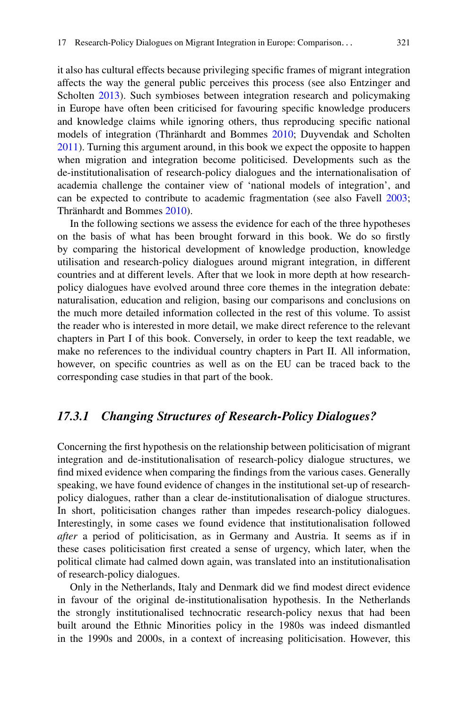it also has cultural effects because privileging specific frames of migrant integration affects the way the general public perceives this process (see also Entzinger and Scholten [2013\)](#page-22-16). Such symbioses between integration research and policymaking in Europe have often been criticised for favouring specific knowledge producers and knowledge claims while ignoring others, thus reproducing specific national models of integration (Thränhardt and Bommes [2010;](#page-22-15) Duyvendak and Scholten [2011\)](#page-22-17). Turning this argument around, in this book we expect the opposite to happen when migration and integration become politicised. Developments such as the de-institutionalisation of research-policy dialogues and the internationalisation of academia challenge the container view of 'national models of integration', and can be expected to contribute to academic fragmentation (see also Favell [2003;](#page-22-7) Thränhardt and Bommes [2010\)](#page-22-15).

In the following sections we assess the evidence for each of the three hypotheses on the basis of what has been brought forward in this book. We do so firstly by comparing the historical development of knowledge production, knowledge utilisation and research-policy dialogues around migrant integration, in different countries and at different levels. After that we look in more depth at how researchpolicy dialogues have evolved around three core themes in the integration debate: naturalisation, education and religion, basing our comparisons and conclusions on the much more detailed information collected in the rest of this volume. To assist the reader who is interested in more detail, we make direct reference to the relevant chapters in Part I of this book. Conversely, in order to keep the text readable, we make no references to the individual country chapters in Part II. All information, however, on specific countries as well as on the EU can be traced back to the corresponding case studies in that part of the book.

#### *17.3.1 Changing Structures of Research-Policy Dialogues?*

Concerning the first hypothesis on the relationship between politicisation of migrant integration and de-institutionalisation of research-policy dialogue structures, we find mixed evidence when comparing the findings from the various cases. Generally speaking, we have found evidence of changes in the institutional set-up of researchpolicy dialogues, rather than a clear de-institutionalisation of dialogue structures. In short, politicisation changes rather than impedes research-policy dialogues. Interestingly, in some cases we found evidence that institutionalisation followed *after* a period of politicisation, as in Germany and Austria. It seems as if in these cases politicisation first created a sense of urgency, which later, when the political climate had calmed down again, was translated into an institutionalisation of research-policy dialogues.

Only in the Netherlands, Italy and Denmark did we find modest direct evidence in favour of the original de-institutionalisation hypothesis. In the Netherlands the strongly institutionalised technocratic research-policy nexus that had been built around the Ethnic Minorities policy in the 1980s was indeed dismantled in the 1990s and 2000s, in a context of increasing politicisation. However, this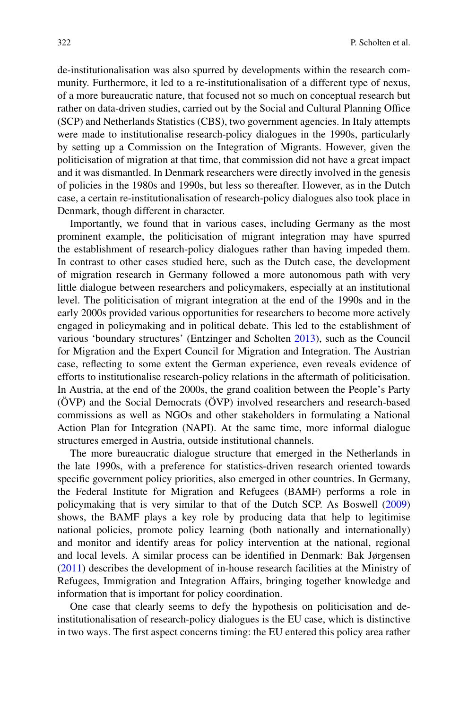de-institutionalisation was also spurred by developments within the research community. Furthermore, it led to a re-institutionalisation of a different type of nexus, of a more bureaucratic nature, that focused not so much on conceptual research but rather on data-driven studies, carried out by the Social and Cultural Planning Office (SCP) and Netherlands Statistics (CBS), two government agencies. In Italy attempts were made to institutionalise research-policy dialogues in the 1990s, particularly by setting up a Commission on the Integration of Migrants. However, given the politicisation of migration at that time, that commission did not have a great impact and it was dismantled. In Denmark researchers were directly involved in the genesis of policies in the 1980s and 1990s, but less so thereafter. However, as in the Dutch case, a certain re-institutionalisation of research-policy dialogues also took place in Denmark, though different in character.

Importantly, we found that in various cases, including Germany as the most prominent example, the politicisation of migrant integration may have spurred the establishment of research-policy dialogues rather than having impeded them. In contrast to other cases studied here, such as the Dutch case, the development of migration research in Germany followed a more autonomous path with very little dialogue between researchers and policymakers, especially at an institutional level. The politicisation of migrant integration at the end of the 1990s and in the early 2000s provided various opportunities for researchers to become more actively engaged in policymaking and in political debate. This led to the establishment of various 'boundary structures' (Entzinger and Scholten [2013\)](#page-22-16), such as the Council for Migration and the Expert Council for Migration and Integration. The Austrian case, reflecting to some extent the German experience, even reveals evidence of efforts to institutionalise research-policy relations in the aftermath of politicisation. In Austria, at the end of the 2000s, the grand coalition between the People's Party (ÖVP) and the Social Democrats (ÖVP) involved researchers and research-based commissions as well as NGOs and other stakeholders in formulating a National Action Plan for Integration (NAPI). At the same time, more informal dialogue structures emerged in Austria, outside institutional channels.

The more bureaucratic dialogue structure that emerged in the Netherlands in the late 1990s, with a preference for statistics-driven research oriented towards specific government policy priorities, also emerged in other countries. In Germany, the Federal Institute for Migration and Refugees (BAMF) performs a role in policymaking that is very similar to that of the Dutch SCP. As Boswell [\(2009\)](#page-21-0) shows, the BAMF plays a key role by producing data that help to legitimise national policies, promote policy learning (both nationally and internationally) and monitor and identify areas for policy intervention at the national, regional and local levels. A similar process can be identified in Denmark: Bak Jørgensen [\(2011\)](#page-21-5) describes the development of in-house research facilities at the Ministry of Refugees, Immigration and Integration Affairs, bringing together knowledge and information that is important for policy coordination.

One case that clearly seems to defy the hypothesis on politicisation and deinstitutionalisation of research-policy dialogues is the EU case, which is distinctive in two ways. The first aspect concerns timing: the EU entered this policy area rather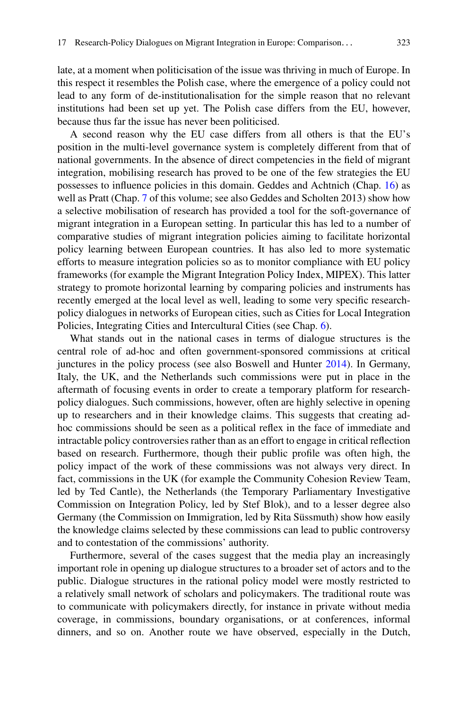late, at a moment when politicisation of the issue was thriving in much of Europe. In this respect it resembles the Polish case, where the emergence of a policy could not lead to any form of de-institutionalisation for the simple reason that no relevant institutions had been set up yet. The Polish case differs from the EU, however, because thus far the issue has never been politicised.

A second reason why the EU case differs from all others is that the EU's position in the multi-level governance system is completely different from that of national governments. In the absence of direct competencies in the field of migrant integration, mobilising research has proved to be one of the few strategies the EU possesses to influence policies in this domain. Geddes and Achtnich (Chap. [16\)](http://dx.doi.org/10.1007/978-3-319-16256-0_16) as well as Pratt (Chap. [7](http://dx.doi.org/10.1007/978-3-319-16256-0_7) of this volume; see also Geddes and Scholten 2013) show how a selective mobilisation of research has provided a tool for the soft-governance of migrant integration in a European setting. In particular this has led to a number of comparative studies of migrant integration policies aiming to facilitate horizontal policy learning between European countries. It has also led to more systematic efforts to measure integration policies so as to monitor compliance with EU policy frameworks (for example the Migrant Integration Policy Index, MIPEX). This latter strategy to promote horizontal learning by comparing policies and instruments has recently emerged at the local level as well, leading to some very specific researchpolicy dialogues in networks of European cities, such as Cities for Local Integration Policies, Integrating Cities and Intercultural Cities (see Chap. [6\)](http://dx.doi.org/10.1007/978-3-319-16256-0_6).

What stands out in the national cases in terms of dialogue structures is the central role of ad-hoc and often government-sponsored commissions at critical junctures in the policy process (see also Boswell and Hunter [2014\)](#page-21-1). In Germany, Italy, the UK, and the Netherlands such commissions were put in place in the aftermath of focusing events in order to create a temporary platform for researchpolicy dialogues. Such commissions, however, often are highly selective in opening up to researchers and in their knowledge claims. This suggests that creating adhoc commissions should be seen as a political reflex in the face of immediate and intractable policy controversies rather than as an effort to engage in critical reflection based on research. Furthermore, though their public profile was often high, the policy impact of the work of these commissions was not always very direct. In fact, commissions in the UK (for example the Community Cohesion Review Team, led by Ted Cantle), the Netherlands (the Temporary Parliamentary Investigative Commission on Integration Policy, led by Stef Blok), and to a lesser degree also Germany (the Commission on Immigration, led by Rita Süssmuth) show how easily the knowledge claims selected by these commissions can lead to public controversy and to contestation of the commissions' authority.

Furthermore, several of the cases suggest that the media play an increasingly important role in opening up dialogue structures to a broader set of actors and to the public. Dialogue structures in the rational policy model were mostly restricted to a relatively small network of scholars and policymakers. The traditional route was to communicate with policymakers directly, for instance in private without media coverage, in commissions, boundary organisations, or at conferences, informal dinners, and so on. Another route we have observed, especially in the Dutch,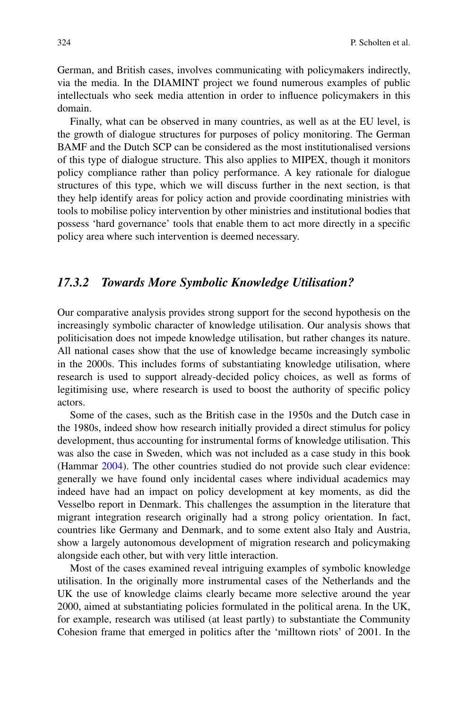German, and British cases, involves communicating with policymakers indirectly, via the media. In the DIAMINT project we found numerous examples of public intellectuals who seek media attention in order to influence policymakers in this domain.

Finally, what can be observed in many countries, as well as at the EU level, is the growth of dialogue structures for purposes of policy monitoring. The German BAMF and the Dutch SCP can be considered as the most institutionalised versions of this type of dialogue structure. This also applies to MIPEX, though it monitors policy compliance rather than policy performance. A key rationale for dialogue structures of this type, which we will discuss further in the next section, is that they help identify areas for policy action and provide coordinating ministries with tools to mobilise policy intervention by other ministries and institutional bodies that possess 'hard governance' tools that enable them to act more directly in a specific policy area where such intervention is deemed necessary.

#### *17.3.2 Towards More Symbolic Knowledge Utilisation?*

Our comparative analysis provides strong support for the second hypothesis on the increasingly symbolic character of knowledge utilisation. Our analysis shows that politicisation does not impede knowledge utilisation, but rather changes its nature. All national cases show that the use of knowledge became increasingly symbolic in the 2000s. This includes forms of substantiating knowledge utilisation, where research is used to support already-decided policy choices, as well as forms of legitimising use, where research is used to boost the authority of specific policy actors.

Some of the cases, such as the British case in the 1950s and the Dutch case in the 1980s, indeed show how research initially provided a direct stimulus for policy development, thus accounting for instrumental forms of knowledge utilisation. This was also the case in Sweden, which was not included as a case study in this book (Hammar [2004\)](#page-22-18). The other countries studied do not provide such clear evidence: generally we have found only incidental cases where individual academics may indeed have had an impact on policy development at key moments, as did the Vesselbo report in Denmark. This challenges the assumption in the literature that migrant integration research originally had a strong policy orientation. In fact, countries like Germany and Denmark, and to some extent also Italy and Austria, show a largely autonomous development of migration research and policymaking alongside each other, but with very little interaction.

Most of the cases examined reveal intriguing examples of symbolic knowledge utilisation. In the originally more instrumental cases of the Netherlands and the UK the use of knowledge claims clearly became more selective around the year 2000, aimed at substantiating policies formulated in the political arena. In the UK, for example, research was utilised (at least partly) to substantiate the Community Cohesion frame that emerged in politics after the 'milltown riots' of 2001. In the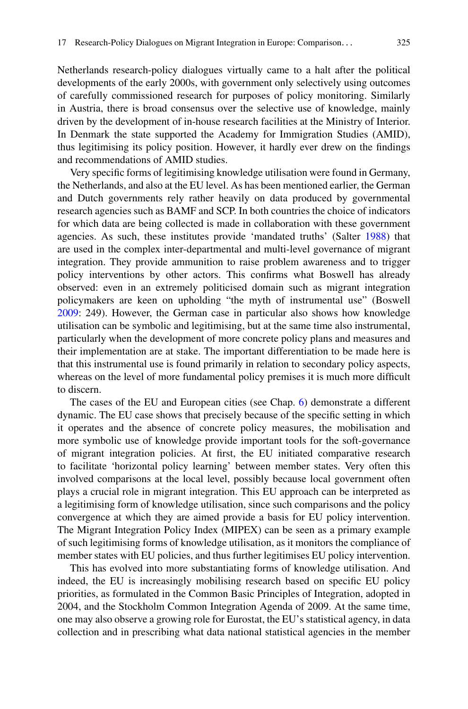Netherlands research-policy dialogues virtually came to a halt after the political developments of the early 2000s, with government only selectively using outcomes of carefully commissioned research for purposes of policy monitoring. Similarly in Austria, there is broad consensus over the selective use of knowledge, mainly driven by the development of in-house research facilities at the Ministry of Interior. In Denmark the state supported the Academy for Immigration Studies (AMID), thus legitimising its policy position. However, it hardly ever drew on the findings and recommendations of AMID studies.

Very specific forms of legitimising knowledge utilisation were found in Germany, the Netherlands, and also at the EU level. As has been mentioned earlier, the German and Dutch governments rely rather heavily on data produced by governmental research agencies such as BAMF and SCP. In both countries the choice of indicators for which data are being collected is made in collaboration with these government agencies. As such, these institutes provide 'mandated truths' (Salter [1988\)](#page-22-19) that are used in the complex inter-departmental and multi-level governance of migrant integration. They provide ammunition to raise problem awareness and to trigger policy interventions by other actors. This confirms what Boswell has already observed: even in an extremely politicised domain such as migrant integration policymakers are keen on upholding "the myth of instrumental use" (Boswell [2009:](#page-21-0) 249). However, the German case in particular also shows how knowledge utilisation can be symbolic and legitimising, but at the same time also instrumental, particularly when the development of more concrete policy plans and measures and their implementation are at stake. The important differentiation to be made here is that this instrumental use is found primarily in relation to secondary policy aspects, whereas on the level of more fundamental policy premises it is much more difficult to discern.

The cases of the EU and European cities (see Chap. [6\)](http://dx.doi.org/10.1007/978-3-319-16256-0_6) demonstrate a different dynamic. The EU case shows that precisely because of the specific setting in which it operates and the absence of concrete policy measures, the mobilisation and more symbolic use of knowledge provide important tools for the soft-governance of migrant integration policies. At first, the EU initiated comparative research to facilitate 'horizontal policy learning' between member states. Very often this involved comparisons at the local level, possibly because local government often plays a crucial role in migrant integration. This EU approach can be interpreted as a legitimising form of knowledge utilisation, since such comparisons and the policy convergence at which they are aimed provide a basis for EU policy intervention. The Migrant Integration Policy Index (MIPEX) can be seen as a primary example of such legitimising forms of knowledge utilisation, as it monitors the compliance of member states with EU policies, and thus further legitimises EU policy intervention.

This has evolved into more substantiating forms of knowledge utilisation. And indeed, the EU is increasingly mobilising research based on specific EU policy priorities, as formulated in the Common Basic Principles of Integration, adopted in 2004, and the Stockholm Common Integration Agenda of 2009. At the same time, one may also observe a growing role for Eurostat, the EU's statistical agency, in data collection and in prescribing what data national statistical agencies in the member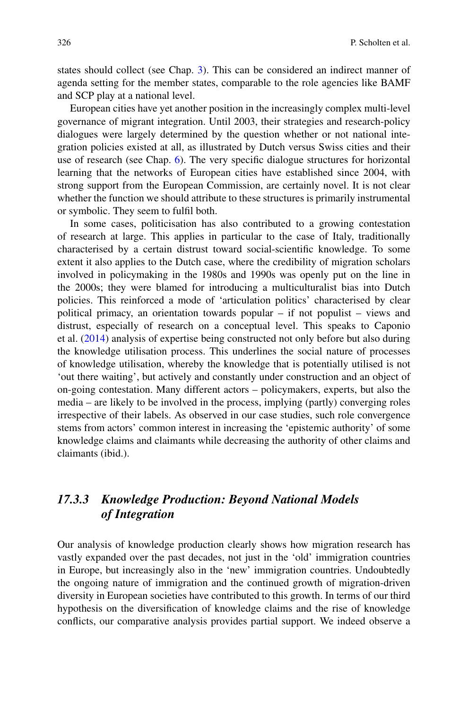states should collect (see Chap. [3\)](http://dx.doi.org/10.1007/978-3-319-16256-0_3). This can be considered an indirect manner of agenda setting for the member states, comparable to the role agencies like BAMF and SCP play at a national level.

European cities have yet another position in the increasingly complex multi-level governance of migrant integration. Until 2003, their strategies and research-policy dialogues were largely determined by the question whether or not national integration policies existed at all, as illustrated by Dutch versus Swiss cities and their use of research (see Chap. [6\)](http://dx.doi.org/10.1007/978-3-319-16256-0_6). The very specific dialogue structures for horizontal learning that the networks of European cities have established since 2004, with strong support from the European Commission, are certainly novel. It is not clear whether the function we should attribute to these structures is primarily instrumental or symbolic. They seem to fulfil both.

In some cases, politicisation has also contributed to a growing contestation of research at large. This applies in particular to the case of Italy, traditionally characterised by a certain distrust toward social-scientific knowledge. To some extent it also applies to the Dutch case, where the credibility of migration scholars involved in policymaking in the 1980s and 1990s was openly put on the line in the 2000s; they were blamed for introducing a multiculturalist bias into Dutch policies. This reinforced a mode of 'articulation politics' characterised by clear political primacy, an orientation towards popular – if not populist – views and distrust, especially of research on a conceptual level. This speaks to Caponio et al. [\(2014\)](#page-21-6) analysis of expertise being constructed not only before but also during the knowledge utilisation process. This underlines the social nature of processes of knowledge utilisation, whereby the knowledge that is potentially utilised is not 'out there waiting', but actively and constantly under construction and an object of on-going contestation. Many different actors – policymakers, experts, but also the media – are likely to be involved in the process, implying (partly) converging roles irrespective of their labels. As observed in our case studies, such role convergence stems from actors' common interest in increasing the 'epistemic authority' of some knowledge claims and claimants while decreasing the authority of other claims and claimants (ibid.).

## *17.3.3 Knowledge Production: Beyond National Models of Integration*

Our analysis of knowledge production clearly shows how migration research has vastly expanded over the past decades, not just in the 'old' immigration countries in Europe, but increasingly also in the 'new' immigration countries. Undoubtedly the ongoing nature of immigration and the continued growth of migration-driven diversity in European societies have contributed to this growth. In terms of our third hypothesis on the diversification of knowledge claims and the rise of knowledge conflicts, our comparative analysis provides partial support. We indeed observe a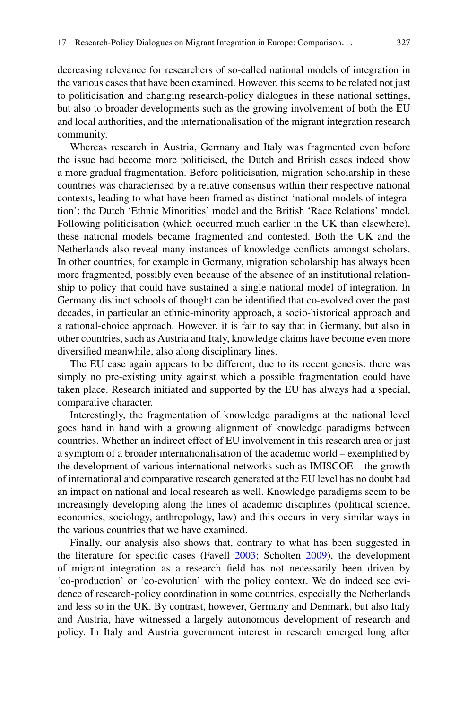decreasing relevance for researchers of so-called national models of integration in the various cases that have been examined. However, this seems to be related not just to politicisation and changing research-policy dialogues in these national settings, but also to broader developments such as the growing involvement of both the EU and local authorities, and the internationalisation of the migrant integration research community.

Whereas research in Austria, Germany and Italy was fragmented even before the issue had become more politicised, the Dutch and British cases indeed show a more gradual fragmentation. Before politicisation, migration scholarship in these countries was characterised by a relative consensus within their respective national contexts, leading to what have been framed as distinct 'national models of integration': the Dutch 'Ethnic Minorities' model and the British 'Race Relations' model. Following politicisation (which occurred much earlier in the UK than elsewhere), these national models became fragmented and contested. Both the UK and the Netherlands also reveal many instances of knowledge conflicts amongst scholars. In other countries, for example in Germany, migration scholarship has always been more fragmented, possibly even because of the absence of an institutional relationship to policy that could have sustained a single national model of integration. In Germany distinct schools of thought can be identified that co-evolved over the past decades, in particular an ethnic-minority approach, a socio-historical approach and a rational-choice approach. However, it is fair to say that in Germany, but also in other countries, such as Austria and Italy, knowledge claims have become even more diversified meanwhile, also along disciplinary lines.

The EU case again appears to be different, due to its recent genesis: there was simply no pre-existing unity against which a possible fragmentation could have taken place. Research initiated and supported by the EU has always had a special, comparative character.

Interestingly, the fragmentation of knowledge paradigms at the national level goes hand in hand with a growing alignment of knowledge paradigms between countries. Whether an indirect effect of EU involvement in this research area or just a symptom of a broader internationalisation of the academic world – exemplified by the development of various international networks such as IMISCOE – the growth of international and comparative research generated at the EU level has no doubt had an impact on national and local research as well. Knowledge paradigms seem to be increasingly developing along the lines of academic disciplines (political science, economics, sociology, anthropology, law) and this occurs in very similar ways in the various countries that we have examined.

Finally, our analysis also shows that, contrary to what has been suggested in the literature for specific cases (Favell [2003;](#page-22-7) Scholten [2009\)](#page-22-20), the development of migrant integration as a research field has not necessarily been driven by 'co-production' or 'co-evolution' with the policy context. We do indeed see evidence of research-policy coordination in some countries, especially the Netherlands and less so in the UK. By contrast, however, Germany and Denmark, but also Italy and Austria, have witnessed a largely autonomous development of research and policy. In Italy and Austria government interest in research emerged long after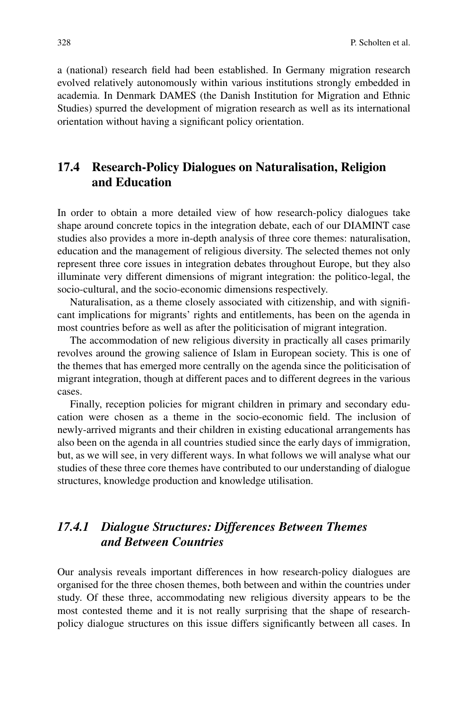a (national) research field had been established. In Germany migration research evolved relatively autonomously within various institutions strongly embedded in academia. In Denmark DAMES (the Danish Institution for Migration and Ethnic Studies) spurred the development of migration research as well as its international orientation without having a significant policy orientation.

## **17.4 Research-Policy Dialogues on Naturalisation, Religion and Education**

In order to obtain a more detailed view of how research-policy dialogues take shape around concrete topics in the integration debate, each of our DIAMINT case studies also provides a more in-depth analysis of three core themes: naturalisation, education and the management of religious diversity. The selected themes not only represent three core issues in integration debates throughout Europe, but they also illuminate very different dimensions of migrant integration: the politico-legal, the socio-cultural, and the socio-economic dimensions respectively.

Naturalisation, as a theme closely associated with citizenship, and with significant implications for migrants' rights and entitlements, has been on the agenda in most countries before as well as after the politicisation of migrant integration.

The accommodation of new religious diversity in practically all cases primarily revolves around the growing salience of Islam in European society. This is one of the themes that has emerged more centrally on the agenda since the politicisation of migrant integration, though at different paces and to different degrees in the various cases.

Finally, reception policies for migrant children in primary and secondary education were chosen as a theme in the socio-economic field. The inclusion of newly-arrived migrants and their children in existing educational arrangements has also been on the agenda in all countries studied since the early days of immigration, but, as we will see, in very different ways. In what follows we will analyse what our studies of these three core themes have contributed to our understanding of dialogue structures, knowledge production and knowledge utilisation.

## *17.4.1 Dialogue Structures: Differences Between Themes and Between Countries*

Our analysis reveals important differences in how research-policy dialogues are organised for the three chosen themes, both between and within the countries under study. Of these three, accommodating new religious diversity appears to be the most contested theme and it is not really surprising that the shape of researchpolicy dialogue structures on this issue differs significantly between all cases. In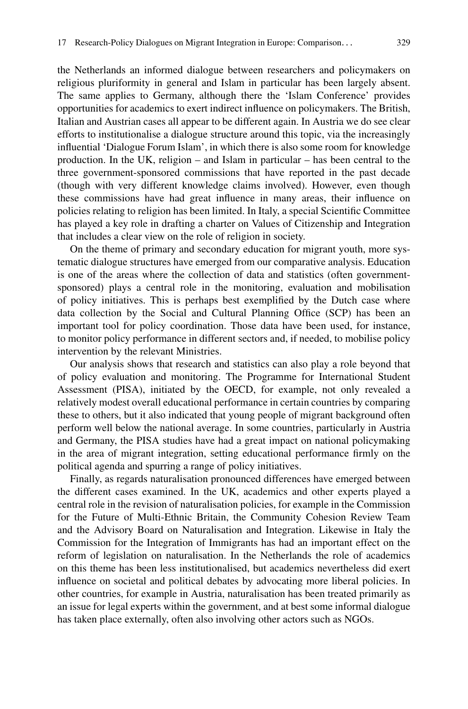the Netherlands an informed dialogue between researchers and policymakers on religious pluriformity in general and Islam in particular has been largely absent. The same applies to Germany, although there the 'Islam Conference' provides opportunities for academics to exert indirect influence on policymakers. The British, Italian and Austrian cases all appear to be different again. In Austria we do see clear efforts to institutionalise a dialogue structure around this topic, via the increasingly influential 'Dialogue Forum Islam', in which there is also some room for knowledge production. In the UK, religion – and Islam in particular – has been central to the three government-sponsored commissions that have reported in the past decade (though with very different knowledge claims involved). However, even though these commissions have had great influence in many areas, their influence on policies relating to religion has been limited. In Italy, a special Scientific Committee has played a key role in drafting a charter on Values of Citizenship and Integration that includes a clear view on the role of religion in society.

On the theme of primary and secondary education for migrant youth, more systematic dialogue structures have emerged from our comparative analysis. Education is one of the areas where the collection of data and statistics (often governmentsponsored) plays a central role in the monitoring, evaluation and mobilisation of policy initiatives. This is perhaps best exemplified by the Dutch case where data collection by the Social and Cultural Planning Office (SCP) has been an important tool for policy coordination. Those data have been used, for instance, to monitor policy performance in different sectors and, if needed, to mobilise policy intervention by the relevant Ministries.

Our analysis shows that research and statistics can also play a role beyond that of policy evaluation and monitoring. The Programme for International Student Assessment (PISA), initiated by the OECD, for example, not only revealed a relatively modest overall educational performance in certain countries by comparing these to others, but it also indicated that young people of migrant background often perform well below the national average. In some countries, particularly in Austria and Germany, the PISA studies have had a great impact on national policymaking in the area of migrant integration, setting educational performance firmly on the political agenda and spurring a range of policy initiatives.

Finally, as regards naturalisation pronounced differences have emerged between the different cases examined. In the UK, academics and other experts played a central role in the revision of naturalisation policies, for example in the Commission for the Future of Multi-Ethnic Britain, the Community Cohesion Review Team and the Advisory Board on Naturalisation and Integration. Likewise in Italy the Commission for the Integration of Immigrants has had an important effect on the reform of legislation on naturalisation. In the Netherlands the role of academics on this theme has been less institutionalised, but academics nevertheless did exert influence on societal and political debates by advocating more liberal policies. In other countries, for example in Austria, naturalisation has been treated primarily as an issue for legal experts within the government, and at best some informal dialogue has taken place externally, often also involving other actors such as NGOs.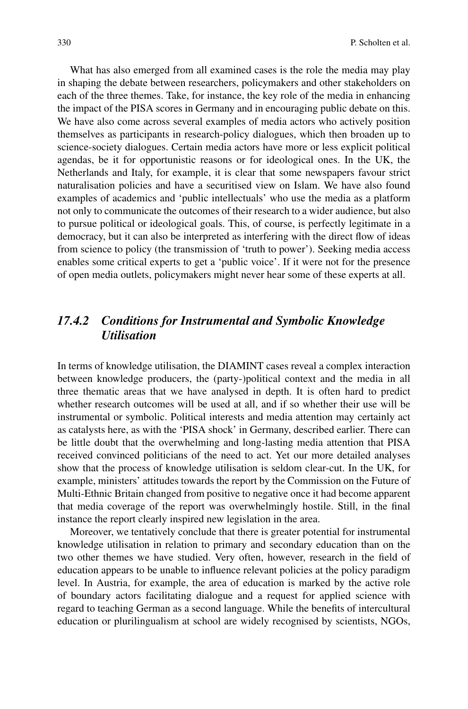What has also emerged from all examined cases is the role the media may play in shaping the debate between researchers, policymakers and other stakeholders on each of the three themes. Take, for instance, the key role of the media in enhancing the impact of the PISA scores in Germany and in encouraging public debate on this. We have also come across several examples of media actors who actively position themselves as participants in research-policy dialogues, which then broaden up to science-society dialogues. Certain media actors have more or less explicit political agendas, be it for opportunistic reasons or for ideological ones. In the UK, the Netherlands and Italy, for example, it is clear that some newspapers favour strict naturalisation policies and have a securitised view on Islam. We have also found examples of academics and 'public intellectuals' who use the media as a platform not only to communicate the outcomes of their research to a wider audience, but also to pursue political or ideological goals. This, of course, is perfectly legitimate in a democracy, but it can also be interpreted as interfering with the direct flow of ideas from science to policy (the transmission of 'truth to power'). Seeking media access enables some critical experts to get a 'public voice'. If it were not for the presence of open media outlets, policymakers might never hear some of these experts at all.

## *17.4.2 Conditions for Instrumental and Symbolic Knowledge Utilisation*

In terms of knowledge utilisation, the DIAMINT cases reveal a complex interaction between knowledge producers, the (party-)political context and the media in all three thematic areas that we have analysed in depth. It is often hard to predict whether research outcomes will be used at all, and if so whether their use will be instrumental or symbolic. Political interests and media attention may certainly act as catalysts here, as with the 'PISA shock' in Germany, described earlier. There can be little doubt that the overwhelming and long-lasting media attention that PISA received convinced politicians of the need to act. Yet our more detailed analyses show that the process of knowledge utilisation is seldom clear-cut. In the UK, for example, ministers' attitudes towards the report by the Commission on the Future of Multi-Ethnic Britain changed from positive to negative once it had become apparent that media coverage of the report was overwhelmingly hostile. Still, in the final instance the report clearly inspired new legislation in the area.

Moreover, we tentatively conclude that there is greater potential for instrumental knowledge utilisation in relation to primary and secondary education than on the two other themes we have studied. Very often, however, research in the field of education appears to be unable to influence relevant policies at the policy paradigm level. In Austria, for example, the area of education is marked by the active role of boundary actors facilitating dialogue and a request for applied science with regard to teaching German as a second language. While the benefits of intercultural education or plurilingualism at school are widely recognised by scientists, NGOs,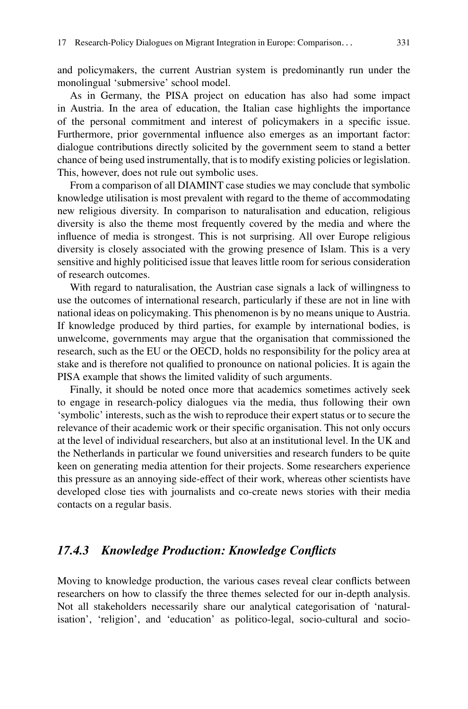and policymakers, the current Austrian system is predominantly run under the monolingual 'submersive' school model.

As in Germany, the PISA project on education has also had some impact in Austria. In the area of education, the Italian case highlights the importance of the personal commitment and interest of policymakers in a specific issue. Furthermore, prior governmental influence also emerges as an important factor: dialogue contributions directly solicited by the government seem to stand a better chance of being used instrumentally, that is to modify existing policies or legislation. This, however, does not rule out symbolic uses.

From a comparison of all DIAMINT case studies we may conclude that symbolic knowledge utilisation is most prevalent with regard to the theme of accommodating new religious diversity. In comparison to naturalisation and education, religious diversity is also the theme most frequently covered by the media and where the influence of media is strongest. This is not surprising. All over Europe religious diversity is closely associated with the growing presence of Islam. This is a very sensitive and highly politicised issue that leaves little room for serious consideration of research outcomes.

With regard to naturalisation, the Austrian case signals a lack of willingness to use the outcomes of international research, particularly if these are not in line with national ideas on policymaking. This phenomenon is by no means unique to Austria. If knowledge produced by third parties, for example by international bodies, is unwelcome, governments may argue that the organisation that commissioned the research, such as the EU or the OECD, holds no responsibility for the policy area at stake and is therefore not qualified to pronounce on national policies. It is again the PISA example that shows the limited validity of such arguments.

Finally, it should be noted once more that academics sometimes actively seek to engage in research-policy dialogues via the media, thus following their own 'symbolic' interests, such as the wish to reproduce their expert status or to secure the relevance of their academic work or their specific organisation. This not only occurs at the level of individual researchers, but also at an institutional level. In the UK and the Netherlands in particular we found universities and research funders to be quite keen on generating media attention for their projects. Some researchers experience this pressure as an annoying side-effect of their work, whereas other scientists have developed close ties with journalists and co-create news stories with their media contacts on a regular basis.

#### *17.4.3 Knowledge Production: Knowledge Conflicts*

Moving to knowledge production, the various cases reveal clear conflicts between researchers on how to classify the three themes selected for our in-depth analysis. Not all stakeholders necessarily share our analytical categorisation of 'naturalisation', 'religion', and 'education' as politico-legal, socio-cultural and socio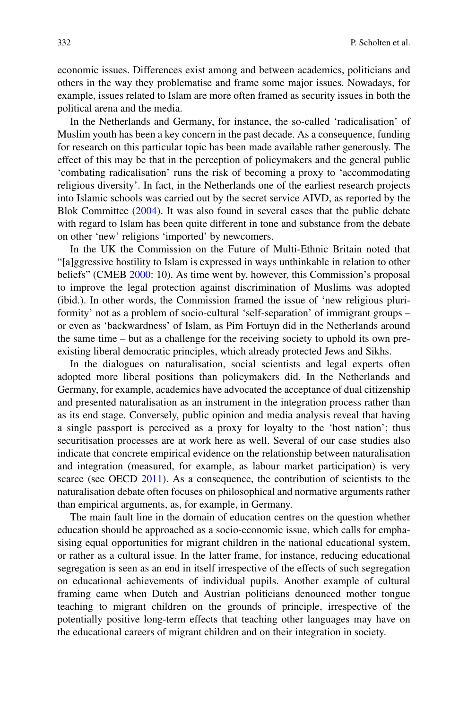economic issues. Differences exist among and between academics, politicians and others in the way they problematise and frame some major issues. Nowadays, for example, issues related to Islam are more often framed as security issues in both the political arena and the media.

In the Netherlands and Germany, for instance, the so-called 'radicalisation' of Muslim youth has been a key concern in the past decade. As a consequence, funding for research on this particular topic has been made available rather generously. The effect of this may be that in the perception of policymakers and the general public 'combating radicalisation' runs the risk of becoming a proxy to 'accommodating religious diversity'. In fact, in the Netherlands one of the earliest research projects into Islamic schools was carried out by the secret service AIVD, as reported by the Blok Committee [\(2004\)](#page-21-7). It was also found in several cases that the public debate with regard to Islam has been quite different in tone and substance from the debate on other 'new' religions 'imported' by newcomers.

In the UK the Commission on the Future of Multi-Ethnic Britain noted that "[a]ggressive hostility to Islam is expressed in ways unthinkable in relation to other beliefs" (CMEB [2000:](#page-22-21) 10). As time went by, however, this Commission's proposal to improve the legal protection against discrimination of Muslims was adopted (ibid.). In other words, the Commission framed the issue of 'new religious pluriformity' not as a problem of socio-cultural 'self-separation' of immigrant groups – or even as 'backwardness' of Islam, as Pim Fortuyn did in the Netherlands around the same time – but as a challenge for the receiving society to uphold its own preexisting liberal democratic principles, which already protected Jews and Sikhs.

In the dialogues on naturalisation, social scientists and legal experts often adopted more liberal positions than policymakers did. In the Netherlands and Germany, for example, academics have advocated the acceptance of dual citizenship and presented naturalisation as an instrument in the integration process rather than as its end stage. Conversely, public opinion and media analysis reveal that having a single passport is perceived as a proxy for loyalty to the 'host nation'; thus securitisation processes are at work here as well. Several of our case studies also indicate that concrete empirical evidence on the relationship between naturalisation and integration (measured, for example, as labour market participation) is very scarce (see OECD [2011\)](#page-22-22). As a consequence, the contribution of scientists to the naturalisation debate often focuses on philosophical and normative arguments rather than empirical arguments, as, for example, in Germany.

The main fault line in the domain of education centres on the question whether education should be approached as a socio-economic issue, which calls for emphasising equal opportunities for migrant children in the national educational system, or rather as a cultural issue. In the latter frame, for instance, reducing educational segregation is seen as an end in itself irrespective of the effects of such segregation on educational achievements of individual pupils. Another example of cultural framing came when Dutch and Austrian politicians denounced mother tongue teaching to migrant children on the grounds of principle, irrespective of the potentially positive long-term effects that teaching other languages may have on the educational careers of migrant children and on their integration in society.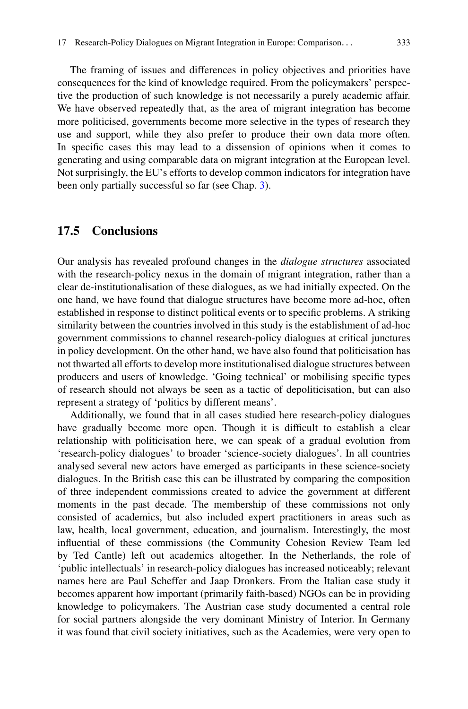The framing of issues and differences in policy objectives and priorities have consequences for the kind of knowledge required. From the policymakers' perspective the production of such knowledge is not necessarily a purely academic affair. We have observed repeatedly that, as the area of migrant integration has become more politicised, governments become more selective in the types of research they use and support, while they also prefer to produce their own data more often. In specific cases this may lead to a dissension of opinions when it comes to generating and using comparable data on migrant integration at the European level. Not surprisingly, the EU's efforts to develop common indicators for integration have been only partially successful so far (see Chap. [3\)](http://dx.doi.org/10.1007/978-3-319-16256-0_3).

#### **17.5 Conclusions**

Our analysis has revealed profound changes in the *dialogue structures* associated with the research-policy nexus in the domain of migrant integration, rather than a clear de-institutionalisation of these dialogues, as we had initially expected. On the one hand, we have found that dialogue structures have become more ad-hoc, often established in response to distinct political events or to specific problems. A striking similarity between the countries involved in this study is the establishment of ad-hoc government commissions to channel research-policy dialogues at critical junctures in policy development. On the other hand, we have also found that politicisation has not thwarted all efforts to develop more institutionalised dialogue structures between producers and users of knowledge. 'Going technical' or mobilising specific types of research should not always be seen as a tactic of depoliticisation, but can also represent a strategy of 'politics by different means'.

Additionally, we found that in all cases studied here research-policy dialogues have gradually become more open. Though it is difficult to establish a clear relationship with politicisation here, we can speak of a gradual evolution from 'research-policy dialogues' to broader 'science-society dialogues'. In all countries analysed several new actors have emerged as participants in these science-society dialogues. In the British case this can be illustrated by comparing the composition of three independent commissions created to advice the government at different moments in the past decade. The membership of these commissions not only consisted of academics, but also included expert practitioners in areas such as law, health, local government, education, and journalism. Interestingly, the most influential of these commissions (the Community Cohesion Review Team led by Ted Cantle) left out academics altogether. In the Netherlands, the role of 'public intellectuals' in research-policy dialogues has increased noticeably; relevant names here are Paul Scheffer and Jaap Dronkers. From the Italian case study it becomes apparent how important (primarily faith-based) NGOs can be in providing knowledge to policymakers. The Austrian case study documented a central role for social partners alongside the very dominant Ministry of Interior. In Germany it was found that civil society initiatives, such as the Academies, were very open to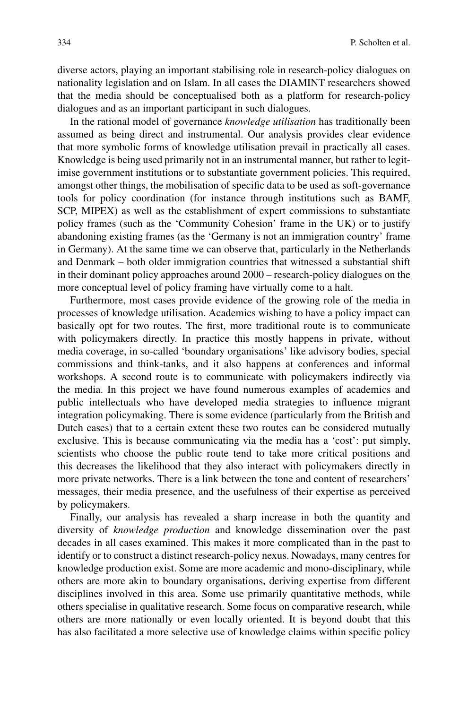diverse actors, playing an important stabilising role in research-policy dialogues on nationality legislation and on Islam. In all cases the DIAMINT researchers showed that the media should be conceptualised both as a platform for research-policy dialogues and as an important participant in such dialogues.

In the rational model of governance *knowledge utilisation* has traditionally been assumed as being direct and instrumental. Our analysis provides clear evidence that more symbolic forms of knowledge utilisation prevail in practically all cases. Knowledge is being used primarily not in an instrumental manner, but rather to legitimise government institutions or to substantiate government policies. This required, amongst other things, the mobilisation of specific data to be used as soft-governance tools for policy coordination (for instance through institutions such as BAMF, SCP, MIPEX) as well as the establishment of expert commissions to substantiate policy frames (such as the 'Community Cohesion' frame in the UK) or to justify abandoning existing frames (as the 'Germany is not an immigration country' frame in Germany). At the same time we can observe that, particularly in the Netherlands and Denmark – both older immigration countries that witnessed a substantial shift in their dominant policy approaches around 2000 – research-policy dialogues on the more conceptual level of policy framing have virtually come to a halt.

Furthermore, most cases provide evidence of the growing role of the media in processes of knowledge utilisation. Academics wishing to have a policy impact can basically opt for two routes. The first, more traditional route is to communicate with policymakers directly. In practice this mostly happens in private, without media coverage, in so-called 'boundary organisations' like advisory bodies, special commissions and think-tanks, and it also happens at conferences and informal workshops. A second route is to communicate with policymakers indirectly via the media. In this project we have found numerous examples of academics and public intellectuals who have developed media strategies to influence migrant integration policymaking. There is some evidence (particularly from the British and Dutch cases) that to a certain extent these two routes can be considered mutually exclusive. This is because communicating via the media has a 'cost': put simply, scientists who choose the public route tend to take more critical positions and this decreases the likelihood that they also interact with policymakers directly in more private networks. There is a link between the tone and content of researchers' messages, their media presence, and the usefulness of their expertise as perceived by policymakers.

Finally, our analysis has revealed a sharp increase in both the quantity and diversity of *knowledge production* and knowledge dissemination over the past decades in all cases examined. This makes it more complicated than in the past to identify or to construct a distinct research-policy nexus. Nowadays, many centres for knowledge production exist. Some are more academic and mono-disciplinary, while others are more akin to boundary organisations, deriving expertise from different disciplines involved in this area. Some use primarily quantitative methods, while others specialise in qualitative research. Some focus on comparative research, while others are more nationally or even locally oriented. It is beyond doubt that this has also facilitated a more selective use of knowledge claims within specific policy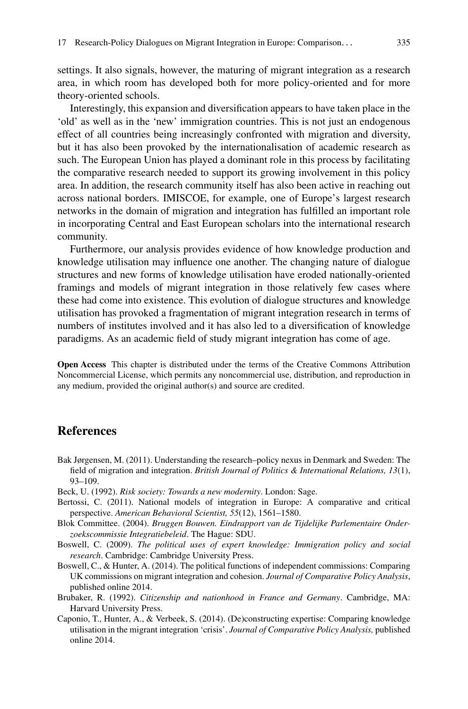settings. It also signals, however, the maturing of migrant integration as a research area, in which room has developed both for more policy-oriented and for more theory-oriented schools.

Interestingly, this expansion and diversification appears to have taken place in the 'old' as well as in the 'new' immigration countries. This is not just an endogenous effect of all countries being increasingly confronted with migration and diversity, but it has also been provoked by the internationalisation of academic research as such. The European Union has played a dominant role in this process by facilitating the comparative research needed to support its growing involvement in this policy area. In addition, the research community itself has also been active in reaching out across national borders. IMISCOE, for example, one of Europe's largest research networks in the domain of migration and integration has fulfilled an important role in incorporating Central and East European scholars into the international research community.

Furthermore, our analysis provides evidence of how knowledge production and knowledge utilisation may influence one another. The changing nature of dialogue structures and new forms of knowledge utilisation have eroded nationally-oriented framings and models of migrant integration in those relatively few cases where these had come into existence. This evolution of dialogue structures and knowledge utilisation has provoked a fragmentation of migrant integration research in terms of numbers of institutes involved and it has also led to a diversification of knowledge paradigms. As an academic field of study migrant integration has come of age.

**Open Access** This chapter is distributed under the terms of the Creative Commons Attribution Noncommercial License, which permits any noncommercial use, distribution, and reproduction in any medium, provided the original author(s) and source are credited.

### **References**

- <span id="page-21-5"></span>Bak Jørgensen, M. (2011). Understanding the research–policy nexus in Denmark and Sweden: The field of migration and integration. *British Journal of Politics & International Relations, 13*(1), 93–109.
- <span id="page-21-2"></span>Beck, U. (1992). *Risk society: Towards a new modernity*. London: Sage.
- <span id="page-21-4"></span>Bertossi, C. (2011). National models of integration in Europe: A comparative and critical perspective. *American Behavioral Scientist, 55*(12), 1561–1580.
- <span id="page-21-7"></span>Blok Committee. (2004). *Bruggen Bouwen. Eindrapport van de Tijdelijke Parlementaire Onderzoekscommissie Integratiebeleid*. The Hague: SDU.
- <span id="page-21-0"></span>Boswell, C. (2009). *The political uses of expert knowledge: Immigration policy and social research*. Cambridge: Cambridge University Press.
- <span id="page-21-1"></span>Boswell, C., & Hunter, A. (2014). The political functions of independent commissions: Comparing UK commissions on migrant integration and cohesion. *Journal of Comparative Policy Analysis*, published online 2014.
- <span id="page-21-3"></span>Brubaker, R. (1992). *Citizenship and nationhood in France and Germany*. Cambridge, MA: Harvard University Press.
- <span id="page-21-6"></span>Caponio, T., Hunter, A., & Verbeek, S. (2014). (De)constructing expertise: Comparing knowledge utilisation in the migrant integration 'crisis'. *Journal of Comparative Policy Analysis,* published online 2014.